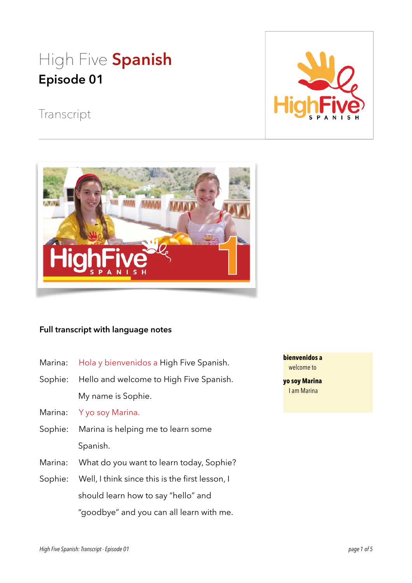# High Five **Spanish Episode 01**



## Transcript



#### **Full transcript with language notes**

- Marina: Hola y bienvenidos a High Five Spanish.
- Sophie: Hello and welcome to High Five Spanish. My name is Sophie.

Marina: Y yo soy Marina.

- Sophie: Marina is helping me to learn some Spanish.
- Marina: What do you want to learn today, Sophie?
- Sophie: Well, I think since this is the first lesson, I should learn how to say "hello" and "goodbye" and you can all learn with me.

**bienvenidos a** welcome to

**yo soy Marina** I am Marina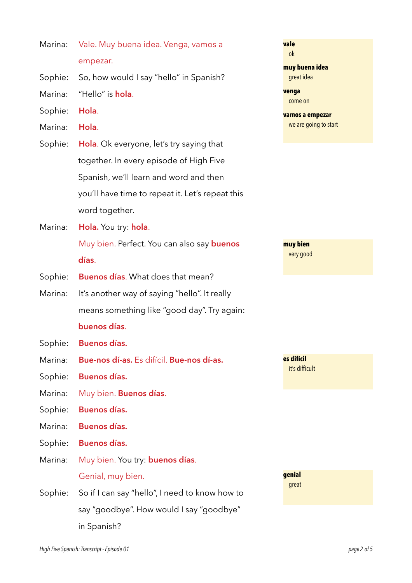| Marina: Vale. Muy buena idea. Venga, vamos a |
|----------------------------------------------|
| empezar.                                     |

- Sophie: So, how would I say "hello" in Spanish?
- Marina: "Hello" is **hola**.
- Sophie: **Hola**.
- Marina: **Hola**.
- Sophie: **Hola**. Ok everyone, let's try saying that together. In every episode of High Five Spanish, we'll learn and word and then you'll have time to repeat it. Let's repeat this word together.
- Marina: **Hola.** You try: **hola**. Muy bien. Perfect. You can also say **buenos días**.
- Sophie: **Buenos días**. What does that mean?
- Marina: It's another way of saying "hello". It really means something like "good day". Try again: **buenos días**.
- Sophie: **Buenos días.**
- Marina: **Bue-nos dí-as.** Es difícil. **Bue-nos dí-as.**
- Sophie: **Buenos días.**
- Marina: Muy bien. **Buenos días**.
- Sophie: **Buenos días.**
- Marina: **Buenos días.**
- Sophie: **Buenos días.**
- Marina: Muy bien. You try: **buenos días**. Genial, muy bien.
- Sophie: So if I can say "hello", I need to know how to say "goodbye". How would I say "goodbye" in Spanish?

```
vale
 ok 
muy buena idea
  great idea 
venga
  come on 
vamos a empezar
  we are going to start
```
**muy bien** very good

**es difícil** it's difficult

**genial** great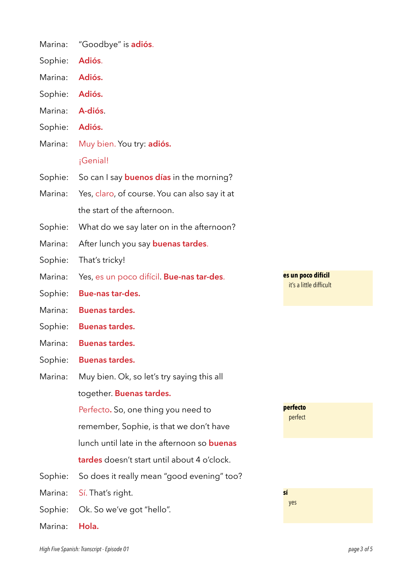| Marina: | "Goodbye" is <b>adiós</b> .                        |                                               |
|---------|----------------------------------------------------|-----------------------------------------------|
| Sophie: | Adiós.                                             |                                               |
| Marina: | Adiós.                                             |                                               |
| Sophie: | Adiós.                                             |                                               |
| Marina: | A-diós.                                            |                                               |
| Sophie: | Adiós.                                             |                                               |
| Marina: | Muy bien. You try: adiós.                          |                                               |
|         | ¡Genial!                                           |                                               |
| Sophie: | So can I say <b>buenos días</b> in the morning?    |                                               |
| Marina: | Yes, claro, of course. You can also say it at      |                                               |
|         | the start of the afternoon.                        |                                               |
| Sophie: | What do we say later on in the afternoon?          |                                               |
| Marina: | After lunch you say <b>buenas tardes</b> .         |                                               |
| Sophie: | That's tricky!                                     |                                               |
| Marina: | Yes, es un poco difícil. Bue-nas tar-des.          | es un poco difícil<br>it's a little difficult |
| Sophie: | Bue-nas tar-des.                                   |                                               |
| Marina: | <b>Buenas tardes.</b>                              |                                               |
| Sophie: | <b>Buenas tardes.</b>                              |                                               |
| Marina: | <b>Buenas tardes.</b>                              |                                               |
| Sophie: | <b>Buenas tardes.</b>                              |                                               |
| Marina: |                                                    |                                               |
|         | Muy bien. Ok, so let's try saying this all         |                                               |
|         | together. Buenas tardes.                           |                                               |
|         | Perfecto. So, one thing you need to                | perfecto                                      |
|         | remember, Sophie, is that we don't have            | perfect                                       |
|         | lunch until late in the afternoon so <b>buenas</b> |                                               |
|         | tardes doesn't start until about 4 o'clock.        |                                               |
| Sophie: | So does it really mean "good evening" too?         |                                               |
| Marina: | Sí. That's right.                                  | sí                                            |
| Sophie: | Ok. So we've got "hello".                          | yes                                           |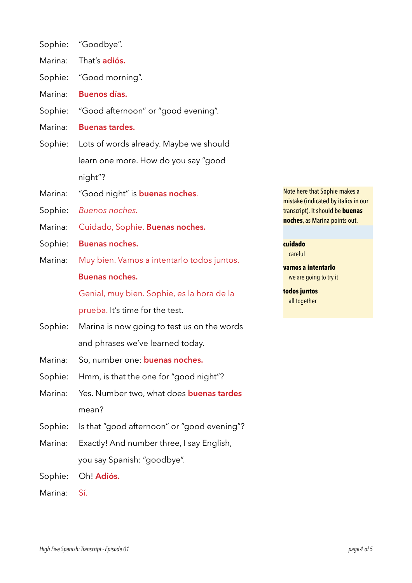- Sophie: "Goodbye".
- Marina: That's **adiós.**
- Sophie: "Good morning".
- Marina: **Buenos días.**
- Sophie: "Good afternoon" or "good evening".
- Marina: **Buenas tardes.**
- Sophie: Lots of words already. Maybe we should learn one more. How do you say "good night"?
- Marina: "Good night" is **buenas noches**.
- Sophie: *Buenos noches.*
- Marina: Cuidado, Sophie. **Buen***a***s noches.**
- Sophie: **Buenas noches.**
- Marina: Muy bien. Vamos a intentarlo todos juntos.

### **Buenas noches.**

Genial, muy bien. Sophie, es la hora de la

prueba. It's time for the test.

- Sophie: Marina is now going to test us on the words and phrases we've learned today.
- Marina: So, number one: **buenas noches.**
- Sophie: Hmm, is that the one for "good night"?
- Marina: Yes. Number two, what does **buenas tardes**  mean?
- Sophie: Is that "good afternoon" or "good evening"?
- Marina: Exactly! And number three, I say English, you say Spanish: "goodbye".
- Sophie: Oh! **Adiós.**
- Marina: Sí.

Note here that Sophie makes a mistake (indicated by italics in our transcript). It should be **buenas noches**, as Marina points out.

#### **cuidado**

careful

**vamos a intentarlo** we are going to try it

**todos juntos** all together